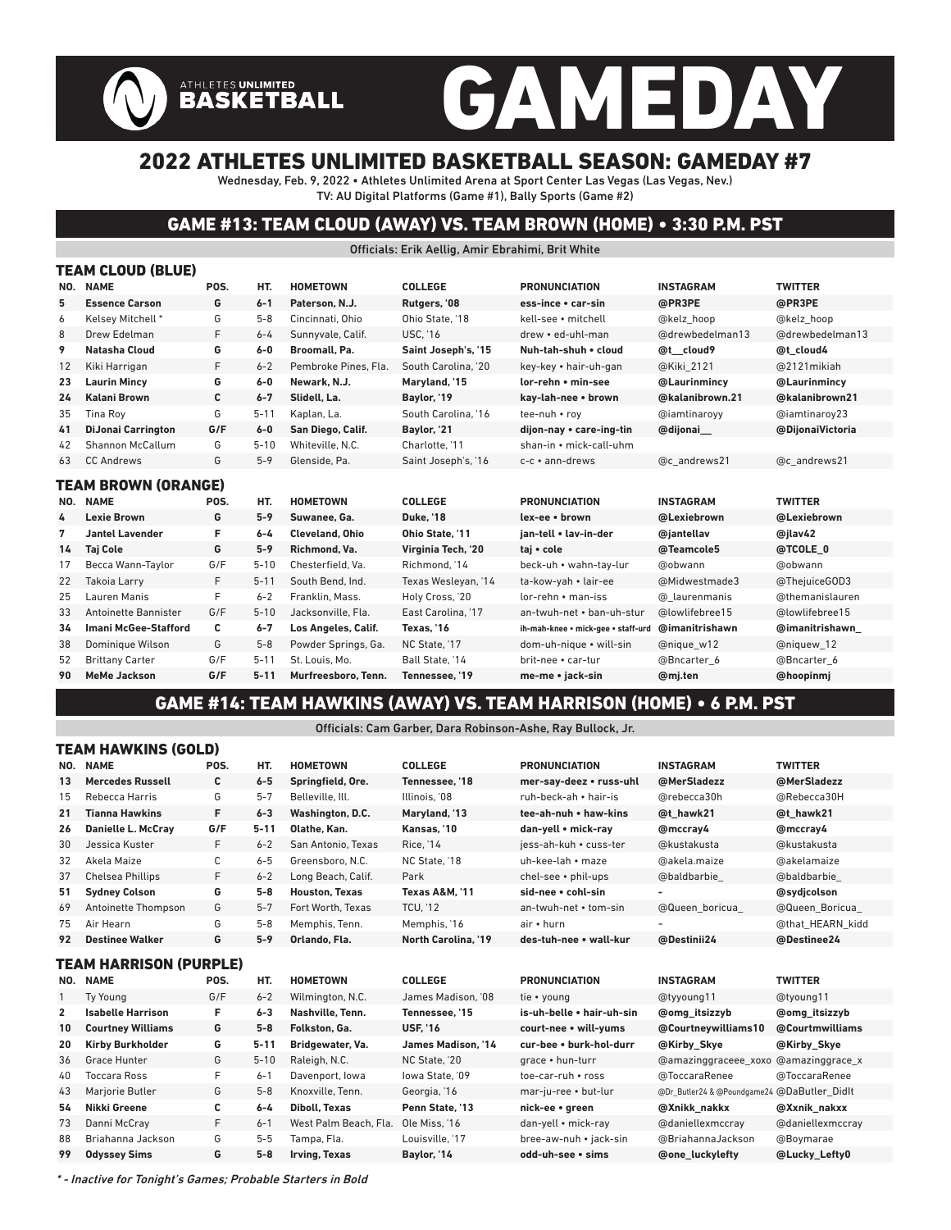# GAMEDAY

### 2022 ATHLETES UNLIMITED BASKETBALL SEASON: GAMEDAY #7

ATHLETES UNLIMITED<br>BASKETBALL

Wednesday, Feb. 9, 2022 • Athletes Unlimited Arena at Sport Center Las Vegas (Las Vegas, Nev.) TV: AU Digital Platforms (Game #1), Bally Sports (Game #2)

#### GAME #13: TEAM CLOUD (AWAY) VS. TEAM BROWN (HOME) • 3:30 P.M. PST

Officials: Erik Aellig, Amir Ebrahimi, Brit White

|     | TEAM CLOUD (BLUE)           |      |          |                        |                        |                                    |                  |                  |  |  |  |  |
|-----|-----------------------------|------|----------|------------------------|------------------------|------------------------------------|------------------|------------------|--|--|--|--|
| NO. | <b>NAME</b>                 | POS. | HT.      | <b>HOMETOWN</b>        | <b>COLLEGE</b>         | <b>PRONUNCIATION</b>               | <b>INSTAGRAM</b> | <b>TWITTER</b>   |  |  |  |  |
| 5   | <b>Essence Carson</b>       | G    | $6 - 1$  | Paterson, N.J.         | Rutgers, '08           | ess-ince • car-sin                 | @PR3PE           | @PR3PE           |  |  |  |  |
| 6   | Kelsey Mitchell *           | G    | $5 - 8$  | Cincinnati, Ohio       | Ohio State, '18        | kell-see • mitchell                | @kelz hoop       | @kelz hoop       |  |  |  |  |
| 8   | Drew Edelman                | F    | $6 - 4$  | Sunnyvale, Calif.      | <b>USC, '16</b>        | drew • ed-uhl-man                  | @drewbedelman13  | @drewbedelman13  |  |  |  |  |
| 9   | Natasha Cloud               | G    | $6-0$    | Broomall, Pa.          | Saint Joseph's, '15    | Nuh-tah-shuh . cloud               | @t cloud9        | @t cloud4        |  |  |  |  |
| 12  | Kiki Harrigan               | F    | $6 - 2$  | Pembroke Pines, Fla.   | South Carolina. '20    | key-key • hair-uh-gan              | @Kiki 2121       | @2121 mikiah     |  |  |  |  |
| 23  | <b>Laurin Mincy</b>         | G    | $6-0$    | Newark, N.J.           | Maryland, '15          | lor-rehn • min-see                 | @Laurinmincv     | @Laurinmincv     |  |  |  |  |
| 24  | Kalani Brown                | C    | $6 - 7$  | Slidell, La.           | Baylor, '19            | kay-lah-nee • brown                | @kalanibrown.21  | @kalanibrown21   |  |  |  |  |
| 35  | <b>Tina Roy</b>             | G    | $5 - 11$ | Kaplan, La.            | South Carolina. '16    | tee-nuh • rov                      | @iamtinaroyy     | @iamtinaroy23    |  |  |  |  |
| 41  | <b>DiJonai Carrington</b>   | G/F  | $6-0$    | San Diego, Calif.      | Baylor, '21            | dijon-nay • care-ing-tin           | @dijonai         | @DijonaiVictoria |  |  |  |  |
| 42  | Shannon McCallum            | G    | $5 - 10$ | Whiteville, N.C.       | Charlotte, '11         | shan-in • mick-call-uhm            |                  |                  |  |  |  |  |
| 63  | <b>CC Andrews</b>           | G    | $5 - 9$  | Glenside, Pa.          | Saint Joseph's, '16    | c-c · ann-drews                    | @c andrews21     | @c andrews21     |  |  |  |  |
|     | <b>TEAM BROWN (ORANGE)</b>  |      |          |                        |                        |                                    |                  |                  |  |  |  |  |
| NO. | <b>NAME</b>                 | POS. | HT.      | <b>HOMETOWN</b>        | <b>COLLEGE</b>         | <b>PRONUNCIATION</b>               | <b>INSTAGRAM</b> | <b>TWITTER</b>   |  |  |  |  |
| 4   | <b>Lexie Brown</b>          | G    | $5 - 9$  | Suwanee, Ga.           | <b>Duke. '18</b>       | lex-ee • brown                     | @Lexiebrown      | @Lexiebrown      |  |  |  |  |
| 7   | <b>Jantel Lavender</b>      | F    | $6 - 4$  | <b>Cleveland, Ohio</b> | <b>Ohio State. '11</b> | jan-tell . lav-in-der              | @jantellav       | @jlav42          |  |  |  |  |
| 14  | <b>Taj Cole</b>             | G    | $5 - 9$  | Richmond, Va.          | Virginia Tech, '20     | taj • cole                         | @Teamcole5       | @TCOLE 0         |  |  |  |  |
| 17  | Becca Wann-Taylor           | G/F  | $5 - 10$ | Chesterfield. Va.      | Richmond. '14          | beck-uh • wahn-tav-lur             | @obwann          | @obwann          |  |  |  |  |
| 22  | <b>Takoia Larry</b>         | F    | $5 - 11$ | South Bend, Ind.       | Texas Wesleyan, '14    | ta-kow-yah • lair-ee               | @Midwestmade3    | @ThejuiceGOD3    |  |  |  |  |
| 25  | Lauren Manis                | F    | $6 - 2$  | Franklin, Mass.        | Holy Cross, '20        | lor-rehn • man-iss                 | @ laurenmanis    | @themanislauren  |  |  |  |  |
| 33  | <b>Antoinette Bannister</b> | G/F  | $5 - 10$ | Jacksonville. Fla.     | East Carolina, '17     | an-twuh-net . ban-uh-stur          | @lowlifebree15   | @lowlifebree15   |  |  |  |  |
| 34  | <b>Imani McGee-Stafford</b> | c    | $6 - 7$  | Los Angeles, Calif.    | Texas, '16             | ih-mah-knee • mick-gee • staff-urd | @imanitrishawn   | @imanitrishawn   |  |  |  |  |
| 38  | Dominique Wilson            | G    | $5 - 8$  | Powder Springs, Ga.    | NC State. '17          | dom-uh-nique • will-sin            | @nique w12       | @niquew 12       |  |  |  |  |
| 52  | <b>Brittany Carter</b>      | G/F  | $5 - 11$ | St. Louis. Mo.         | Ball State. '14        | brit-nee • car-tur                 | @Bncarter 6      | @Bncarter 6      |  |  |  |  |
| 90  | <b>MeMe Jackson</b>         | G/F  | $5 - 11$ | Murfreesboro. Tenn.    | Tennessee, '19         | me-me • jack-sin                   | @mj.ten          | @hoopinmj        |  |  |  |  |
|     |                             |      |          |                        |                        |                                    |                  |                  |  |  |  |  |

#### GAME #14: TEAM HAWKINS (AWAY) VS. TEAM HARRISON (HOME) • 6 P.M. PST

Officials: Cam Garber, Dara Robinson-Ashe, Ray Bullock, Jr.

| I LAM MAWƘINƏ (GULD) |                          |      |          |                       |                           |                           |                                             |                      |  |  |  |  |
|----------------------|--------------------------|------|----------|-----------------------|---------------------------|---------------------------|---------------------------------------------|----------------------|--|--|--|--|
|                      | NO. NAME                 | POS. | HT.      | <b>HOMETOWN</b>       | <b>COLLEGE</b>            | <b>PRONUNCIATION</b>      | <b>INSTAGRAM</b>                            | <b>TWITTER</b>       |  |  |  |  |
| 13                   | <b>Mercedes Russell</b>  | С    | $6 - 5$  | Springfield, Ore.     | Tennessee, '18            | mer-say-deez • russ-uhl   | @MerSladezz                                 | @MerSladezz          |  |  |  |  |
| 15                   | Rebecca Harris           | G    | $5 - 7$  | Belleville, Ill.      | Illinois. '08             | ruh-beck-ah • hair-is     | @rebecca30h                                 | @Rebecca30H          |  |  |  |  |
| 21                   | <b>Tianna Hawkins</b>    | F    | $6 - 3$  | Washington, D.C.      | Maryland, '13             | tee-ah-nuh • haw-kins     | @t hawk21                                   | @t hawk21            |  |  |  |  |
| 26                   | Danielle L. McCray       | G/F  | $5 - 11$ | Olathe, Kan.          | Kansas, '10               | dan-yell • mick-ray       | @mccray4                                    | @mccray4             |  |  |  |  |
| 30                   | Jessica Kuster           | F    | $6 - 2$  | San Antonio, Texas    | <b>Rice, '14</b>          | jess-ah-kuh • cuss-ter    | @kustakusta                                 | @kustakusta          |  |  |  |  |
| 32                   | Akela Maize              | С    | $6 - 5$  | Greensboro, N.C.      | NC State. '18             | uh-kee-lah • maze         | @akela.maize                                | @akelamaize          |  |  |  |  |
| 37                   | <b>Chelsea Phillips</b>  | F    | $6 - 2$  | Long Beach, Calif.    | Park                      | chel-see • phil-ups       | @baldbarbie                                 | @baldbarbie          |  |  |  |  |
| 51                   | <b>Sydney Colson</b>     | G    | $5 - 8$  | <b>Houston, Texas</b> | <b>Texas A&amp;M. '11</b> | sid-nee • cohl-sin        |                                             | @sydicolson          |  |  |  |  |
| 69                   | Antoinette Thompson      | G    | $5 - 7$  | Fort Worth, Texas     | <b>TCU. '12</b>           | an-twuh-net • tom-sin     | @Queen boricua                              | @Queen Boricua       |  |  |  |  |
| 75                   | Air Hearn                | G    | $5 - 8$  | Memphis, Tenn.        | Memphis, '16              | air • hurn                |                                             | @that HEARN kidd     |  |  |  |  |
| 92                   | <b>Destinee Walker</b>   | G    | $5 - 9$  | Orlando, Fla.         | North Carolina, '19       | des-tuh-nee • wall-kur    | @Destinii24                                 | @Destinee24          |  |  |  |  |
|                      | TEAM HARRISON (PURPLE)   |      |          |                       |                           |                           |                                             |                      |  |  |  |  |
| NO.                  | <b>NAME</b>              | POS. | HT.      | <b>HOMETOWN</b>       | <b>COLLEGE</b>            | <b>PRONUNCIATION</b>      | <b>INSTAGRAM</b>                            | <b>TWITTER</b>       |  |  |  |  |
| $\mathbf{1}$         | Ty Young                 | G/F  | $6 - 2$  | Wilmington, N.C.      | James Madison. '08        | tie • young               | @tyyoung11                                  | @tyoung11            |  |  |  |  |
| $\mathbf{2}$         | <b>Isabelle Harrison</b> | F    | $6 - 3$  | Nashville, Tenn.      | Tennessee, '15            | is-uh-belle • hair-uh-sin | <b>@omg</b> itsizzyb                        | <b>@omg</b> itsizzyb |  |  |  |  |
| 10                   | <b>Courtney Williams</b> | G    | $5 - 8$  | Folkston. Ga.         | <b>USF. '16</b>           | court-nee • will-yums     | @Courtneywilliams10                         | @Courtmwilliams      |  |  |  |  |
| 20                   | <b>Kirby Burkholder</b>  | G    | $5 - 11$ | Bridgewater, Va.      | <b>James Madison. '14</b> | cur-bee • burk-hol-durr   | @Kirby Skye                                 | @Kirby Skye          |  |  |  |  |
| 36                   | <b>Grace Hunter</b>      | G    | $5 - 10$ | Raleigh, N.C.         | NC State, '20             | grace • hun-turr          | @amazinggraceee xoxo                        | @amazinggrace x      |  |  |  |  |
| 40                   | <b>Toccara Ross</b>      | F    | $6 - 1$  | Davenport, Iowa       | lowa State. '09           | toe-car-ruh • ross        | @ToccaraRenee                               | @ToccaraRenee        |  |  |  |  |
| 43                   | Marjorie Butler          | G    | $5 - 8$  | Knoxville, Tenn.      | Georgia, '16              | mar-ju-ree • but-lur      | @Dr_Butler24 & @Poundgame24 @DaButler Didlt |                      |  |  |  |  |
| 54                   | Nikki Greene             | C    | $6 - 4$  | <b>Diboll, Texas</b>  | Penn State, '13           | nick-ee • green           | @Xnikk nakkx                                | @Xxnik nakxx         |  |  |  |  |
| 73                   | Danni McCray             | F    | $6 - 1$  | West Palm Beach, Fla. | Ole Miss. '16             | dan-yell • mick-ray       | @daniellexmccray                            | @daniellexmccray     |  |  |  |  |
| 88                   | Briahanna Jackson        | G    | $5-5$    | Tampa, Fla.           | Louisville. '17           | bree-aw-nuh • jack-sin    | @BriahannaJackson                           | @Boymarae            |  |  |  |  |
| 99                   | <b>Odyssey Sims</b>      | G    | $5-8$    | Irving, Texas         | Baylor, '14               | odd-uh-see · sims         | <b>@one luckylefty</b>                      | @Lucky_Lefty0        |  |  |  |  |
|                      |                          |      |          |                       |                           |                           |                                             |                      |  |  |  |  |

\* - Inactive for Tonight's Games; Probable Starters in Bold

TEAM HAWKING (GOLD)